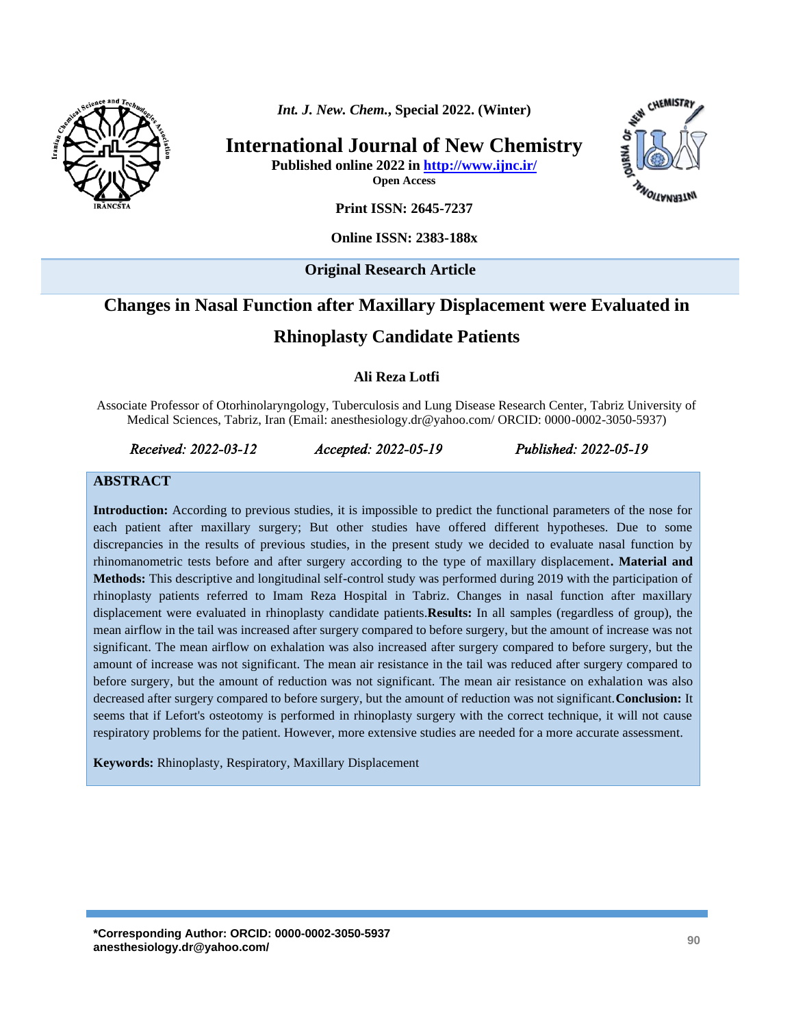

*Int. J. New. Chem.***, Special 2022. (Winter)**

**International Journal of New Chemistry**

**Published online 2022 in<http://www.ijnc.ir/>**

**Open Access**



**Print ISSN: 2645-7237**

#### **Online ISSN: 2383-188x**

**Original Research Article** 

# **Changes in Nasal Function after Maxillary Displacement were Evaluated in**

#### **Rhinoplasty Candidate Patients**

#### **Ali Reza Lotfi**

Associate Professor of Otorhinolaryngology, Tuberculosis and Lung Disease Research Center, Tabriz University of Medical Sciences, Tabriz, Iran (Email: anesthesiology.dr@yahoo.com/ ORCID: 0000-0002-3050-5937)

*Received: 2022-03-12 Accepted: 2022-05-19 Published: 2022-05-19* 

#### **ABSTRACT**

**Introduction:** According to previous studies, it is impossible to predict the functional parameters of the nose for each patient after maxillary surgery; But other studies have offered different hypotheses. Due to some discrepancies in the results of previous studies, in the present study we decided to evaluate nasal function by rhinomanometric tests before and after surgery according to the type of maxillary displacement**. Material and Methods:** This descriptive and longitudinal self-control study was performed during 2019 with the participation of rhinoplasty patients referred to Imam Reza Hospital in Tabriz. Changes in nasal function after maxillary displacement were evaluated in rhinoplasty candidate patients.**Results:** In all samples (regardless of group), the mean airflow in the tail was increased after surgery compared to before surgery, but the amount of increase was not significant. The mean airflow on exhalation was also increased after surgery compared to before surgery, but the amount of increase was not significant. The mean air resistance in the tail was reduced after surgery compared to before surgery, but the amount of reduction was not significant. The mean air resistance on exhalation was also decreased after surgery compared to before surgery, but the amount of reduction was not significant.**Conclusion:** It seems that if Lefort's osteotomy is performed in rhinoplasty surgery with the correct technique, it will not cause respiratory problems for the patient. However, more extensive studies are needed for a more accurate assessment.

**Keywords:** Rhinoplasty, Respiratory, Maxillary Displacement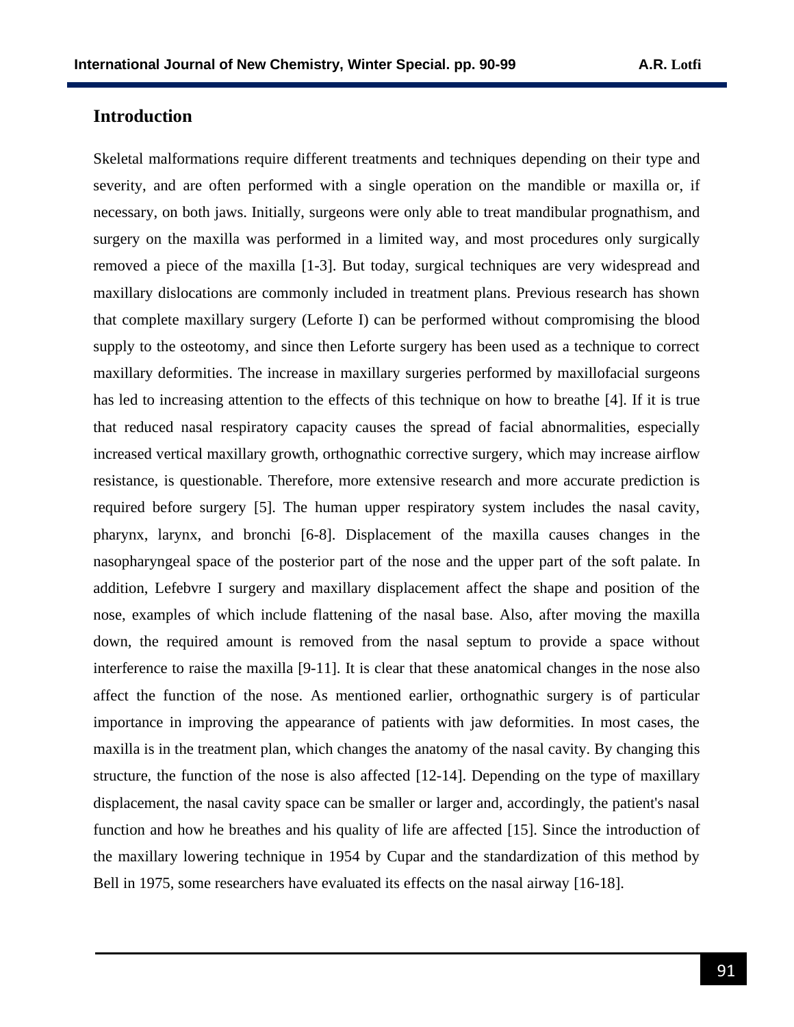# **Introduction**

Skeletal malformations require different treatments and techniques depending on their type and severity, and are often performed with a single operation on the mandible or maxilla or, if necessary, on both jaws. Initially, surgeons were only able to treat mandibular prognathism, and surgery on the maxilla was performed in a limited way, and most procedures only surgically removed a piece of the maxilla [1-3]. But today, surgical techniques are very widespread and maxillary dislocations are commonly included in treatment plans. Previous research has shown that complete maxillary surgery (Leforte I) can be performed without compromising the blood supply to the osteotomy, and since then Leforte surgery has been used as a technique to correct maxillary deformities. The increase in maxillary surgeries performed by maxillofacial surgeons has led to increasing attention to the effects of this technique on how to breathe [4]. If it is true that reduced nasal respiratory capacity causes the spread of facial abnormalities, especially increased vertical maxillary growth, orthognathic corrective surgery, which may increase airflow resistance, is questionable. Therefore, more extensive research and more accurate prediction is required before surgery [5]. The human upper respiratory system includes the nasal cavity, pharynx, larynx, and bronchi [6-8]. Displacement of the maxilla causes changes in the nasopharyngeal space of the posterior part of the nose and the upper part of the soft palate. In addition, Lefebvre I surgery and maxillary displacement affect the shape and position of the nose, examples of which include flattening of the nasal base. Also, after moving the maxilla down, the required amount is removed from the nasal septum to provide a space without interference to raise the maxilla [9-11]. It is clear that these anatomical changes in the nose also affect the function of the nose. As mentioned earlier, orthognathic surgery is of particular importance in improving the appearance of patients with jaw deformities. In most cases, the maxilla is in the treatment plan, which changes the anatomy of the nasal cavity. By changing this structure, the function of the nose is also affected [12-14]. Depending on the type of maxillary displacement, the nasal cavity space can be smaller or larger and, accordingly, the patient's nasal function and how he breathes and his quality of life are affected [15]. Since the introduction of the maxillary lowering technique in 1954 by Cupar and the standardization of this method by Bell in 1975, some researchers have evaluated its effects on the nasal airway [16-18].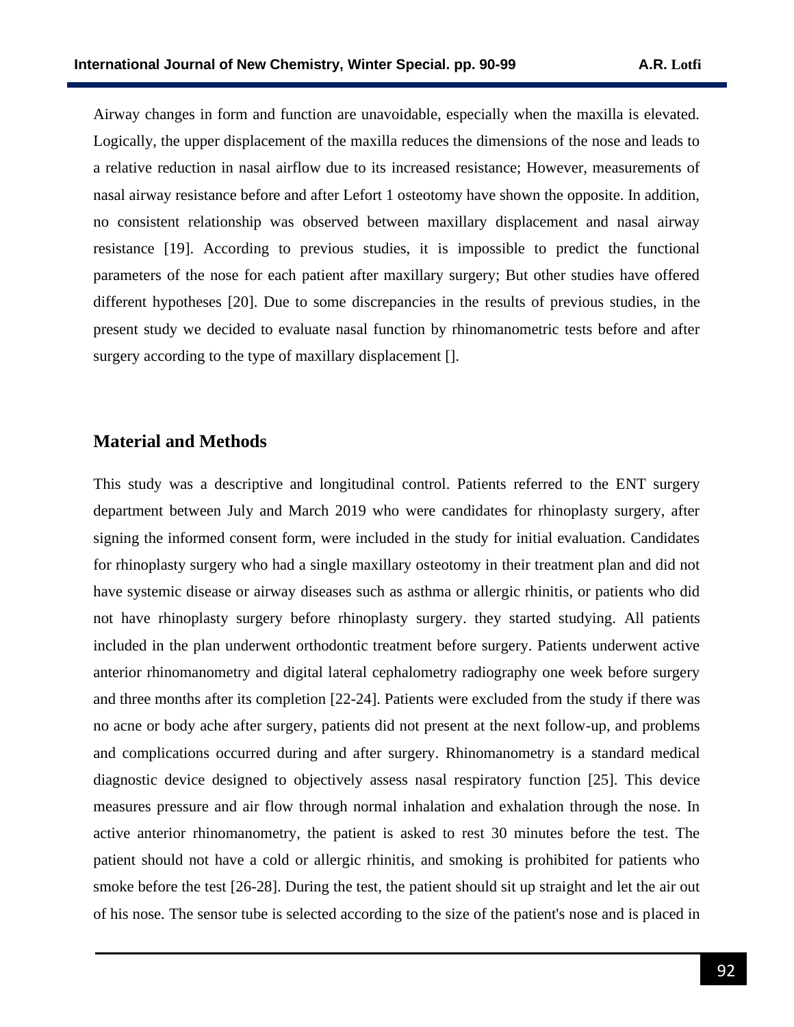Airway changes in form and function are unavoidable, especially when the maxilla is elevated. Logically, the upper displacement of the maxilla reduces the dimensions of the nose and leads to a relative reduction in nasal airflow due to its increased resistance; However, measurements of nasal airway resistance before and after Lefort 1 osteotomy have shown the opposite. In addition, no consistent relationship was observed between maxillary displacement and nasal airway resistance [19]. According to previous studies, it is impossible to predict the functional parameters of the nose for each patient after maxillary surgery; But other studies have offered different hypotheses [20]. Due to some discrepancies in the results of previous studies, in the present study we decided to evaluate nasal function by rhinomanometric tests before and after surgery according to the type of maxillary displacement [].

#### **Material and Methods**

This study was a descriptive and longitudinal control. Patients referred to the ENT surgery department between July and March 2019 who were candidates for rhinoplasty surgery, after signing the informed consent form, were included in the study for initial evaluation. Candidates for rhinoplasty surgery who had a single maxillary osteotomy in their treatment plan and did not have systemic disease or airway diseases such as asthma or allergic rhinitis, or patients who did not have rhinoplasty surgery before rhinoplasty surgery. they started studying. All patients included in the plan underwent orthodontic treatment before surgery. Patients underwent active anterior rhinomanometry and digital lateral cephalometry radiography one week before surgery and three months after its completion [22-24]. Patients were excluded from the study if there was no acne or body ache after surgery, patients did not present at the next follow-up, and problems and complications occurred during and after surgery. Rhinomanometry is a standard medical diagnostic device designed to objectively assess nasal respiratory function [25]. This device measures pressure and air flow through normal inhalation and exhalation through the nose. In active anterior rhinomanometry, the patient is asked to rest 30 minutes before the test. The patient should not have a cold or allergic rhinitis, and smoking is prohibited for patients who smoke before the test [26-28]. During the test, the patient should sit up straight and let the air out of his nose. The sensor tube is selected according to the size of the patient's nose and is placed in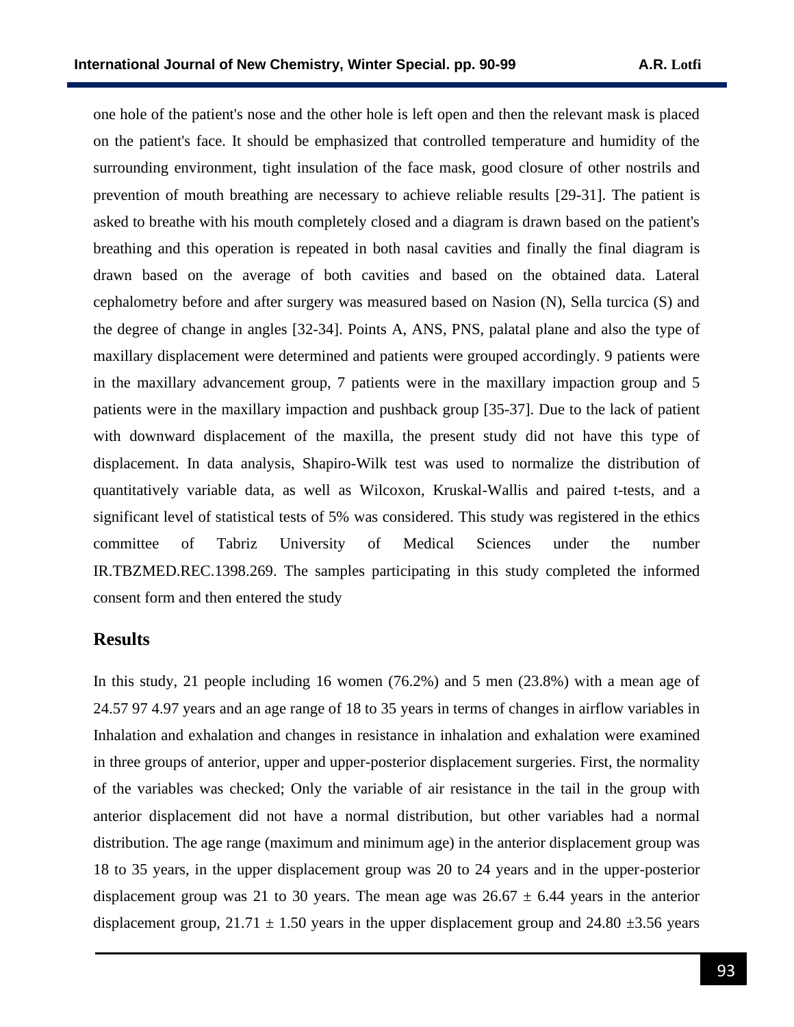one hole of the patient's nose and the other hole is left open and then the relevant mask is placed on the patient's face. It should be emphasized that controlled temperature and humidity of the surrounding environment, tight insulation of the face mask, good closure of other nostrils and prevention of mouth breathing are necessary to achieve reliable results [29-31]. The patient is asked to breathe with his mouth completely closed and a diagram is drawn based on the patient's breathing and this operation is repeated in both nasal cavities and finally the final diagram is drawn based on the average of both cavities and based on the obtained data. Lateral cephalometry before and after surgery was measured based on Nasion (N), Sella turcica (S) and the degree of change in angles [32-34]. Points A, ANS, PNS, palatal plane and also the type of maxillary displacement were determined and patients were grouped accordingly. 9 patients were in the maxillary advancement group, 7 patients were in the maxillary impaction group and 5 patients were in the maxillary impaction and pushback group [35-37]. Due to the lack of patient with downward displacement of the maxilla, the present study did not have this type of displacement. In data analysis, Shapiro-Wilk test was used to normalize the distribution of quantitatively variable data, as well as Wilcoxon, Kruskal-Wallis and paired t-tests, and a significant level of statistical tests of 5% was considered. This study was registered in the ethics committee of Tabriz University of Medical Sciences under the number [IR.TBZMED.REC.1398.269.](http://ethics.research.ac.ir/IR.TBZMED.REC.1398.269) The samples participating in this study completed the informed consent form and then entered the study

# **Results**

In this study, 21 people including 16 women (76.2%) and 5 men (23.8%) with a mean age of 24.57 97 4.97 years and an age range of 18 to 35 years in terms of changes in airflow variables in Inhalation and exhalation and changes in resistance in inhalation and exhalation were examined in three groups of anterior, upper and upper-posterior displacement surgeries. First, the normality of the variables was checked; Only the variable of air resistance in the tail in the group with anterior displacement did not have a normal distribution, but other variables had a normal distribution. The age range (maximum and minimum age) in the anterior displacement group was 18 to 35 years, in the upper displacement group was 20 to 24 years and in the upper-posterior displacement group was 21 to 30 years. The mean age was  $26.67 \pm 6.44$  years in the anterior displacement group,  $21.71 \pm 1.50$  years in the upper displacement group and  $24.80 \pm 3.56$  years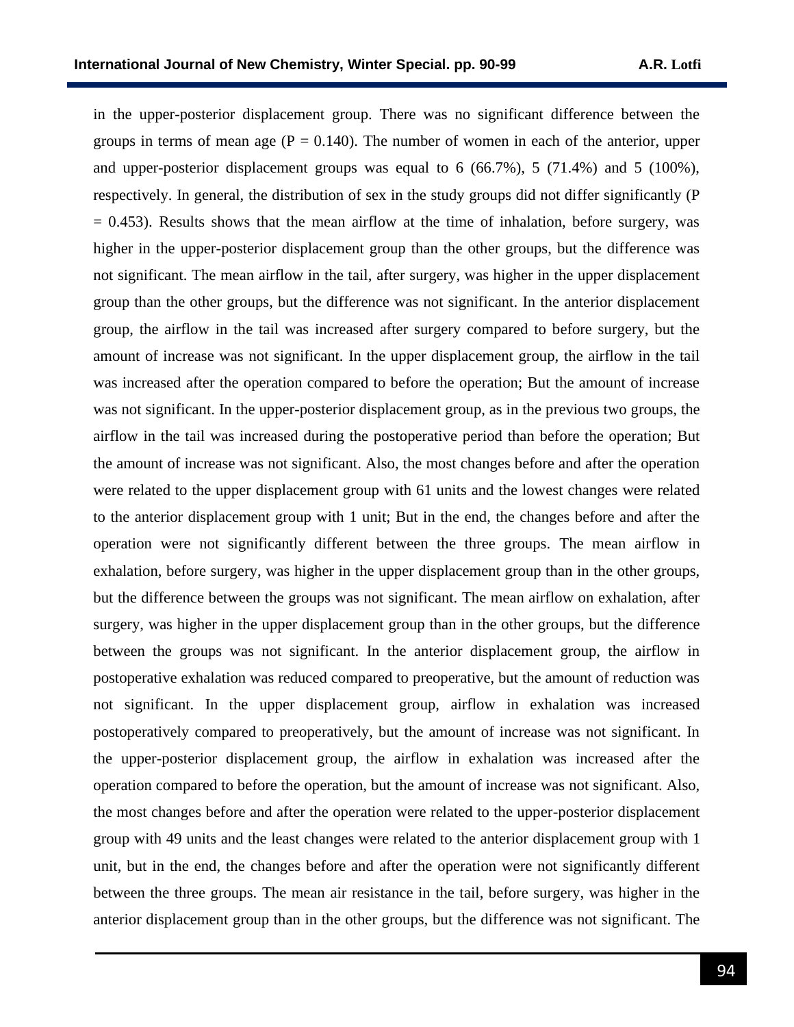in the upper-posterior displacement group. There was no significant difference between the groups in terms of mean age ( $P = 0.140$ ). The number of women in each of the anterior, upper and upper-posterior displacement groups was equal to 6 (66.7%), 5 (71.4%) and 5 (100%), respectively. In general, the distribution of sex in the study groups did not differ significantly (P  $= 0.453$ ). Results shows that the mean airflow at the time of inhalation, before surgery, was higher in the upper-posterior displacement group than the other groups, but the difference was not significant. The mean airflow in the tail, after surgery, was higher in the upper displacement group than the other groups, but the difference was not significant. In the anterior displacement group, the airflow in the tail was increased after surgery compared to before surgery, but the amount of increase was not significant. In the upper displacement group, the airflow in the tail was increased after the operation compared to before the operation; But the amount of increase was not significant. In the upper-posterior displacement group, as in the previous two groups, the airflow in the tail was increased during the postoperative period than before the operation; But the amount of increase was not significant. Also, the most changes before and after the operation were related to the upper displacement group with 61 units and the lowest changes were related to the anterior displacement group with 1 unit; But in the end, the changes before and after the operation were not significantly different between the three groups. The mean airflow in exhalation, before surgery, was higher in the upper displacement group than in the other groups, but the difference between the groups was not significant. The mean airflow on exhalation, after surgery, was higher in the upper displacement group than in the other groups, but the difference between the groups was not significant. In the anterior displacement group, the airflow in postoperative exhalation was reduced compared to preoperative, but the amount of reduction was not significant. In the upper displacement group, airflow in exhalation was increased postoperatively compared to preoperatively, but the amount of increase was not significant. In the upper-posterior displacement group, the airflow in exhalation was increased after the operation compared to before the operation, but the amount of increase was not significant. Also, the most changes before and after the operation were related to the upper-posterior displacement group with 49 units and the least changes were related to the anterior displacement group with 1 unit, but in the end, the changes before and after the operation were not significantly different between the three groups. The mean air resistance in the tail, before surgery, was higher in the anterior displacement group than in the other groups, but the difference was not significant. The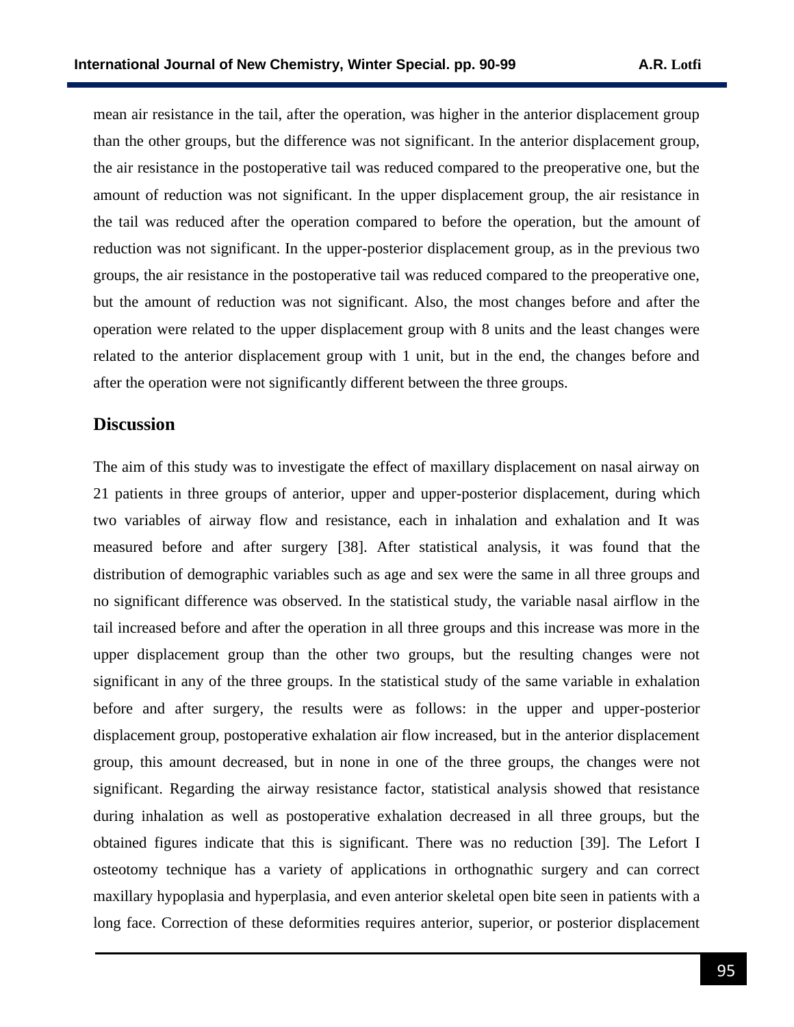mean air resistance in the tail, after the operation, was higher in the anterior displacement group than the other groups, but the difference was not significant. In the anterior displacement group, the air resistance in the postoperative tail was reduced compared to the preoperative one, but the amount of reduction was not significant. In the upper displacement group, the air resistance in the tail was reduced after the operation compared to before the operation, but the amount of reduction was not significant. In the upper-posterior displacement group, as in the previous two groups, the air resistance in the postoperative tail was reduced compared to the preoperative one, but the amount of reduction was not significant. Also, the most changes before and after the operation were related to the upper displacement group with 8 units and the least changes were related to the anterior displacement group with 1 unit, but in the end, the changes before and after the operation were not significantly different between the three groups.

#### **Discussion**

The aim of this study was to investigate the effect of maxillary displacement on nasal airway on 21 patients in three groups of anterior, upper and upper-posterior displacement, during which two variables of airway flow and resistance, each in inhalation and exhalation and It was measured before and after surgery [38]. After statistical analysis, it was found that the distribution of demographic variables such as age and sex were the same in all three groups and no significant difference was observed. In the statistical study, the variable nasal airflow in the tail increased before and after the operation in all three groups and this increase was more in the upper displacement group than the other two groups, but the resulting changes were not significant in any of the three groups. In the statistical study of the same variable in exhalation before and after surgery, the results were as follows: in the upper and upper-posterior displacement group, postoperative exhalation air flow increased, but in the anterior displacement group, this amount decreased, but in none in one of the three groups, the changes were not significant. Regarding the airway resistance factor, statistical analysis showed that resistance during inhalation as well as postoperative exhalation decreased in all three groups, but the obtained figures indicate that this is significant. There was no reduction [39]. The Lefort I osteotomy technique has a variety of applications in orthognathic surgery and can correct maxillary hypoplasia and hyperplasia, and even anterior skeletal open bite seen in patients with a long face. Correction of these deformities requires anterior, superior, or posterior displacement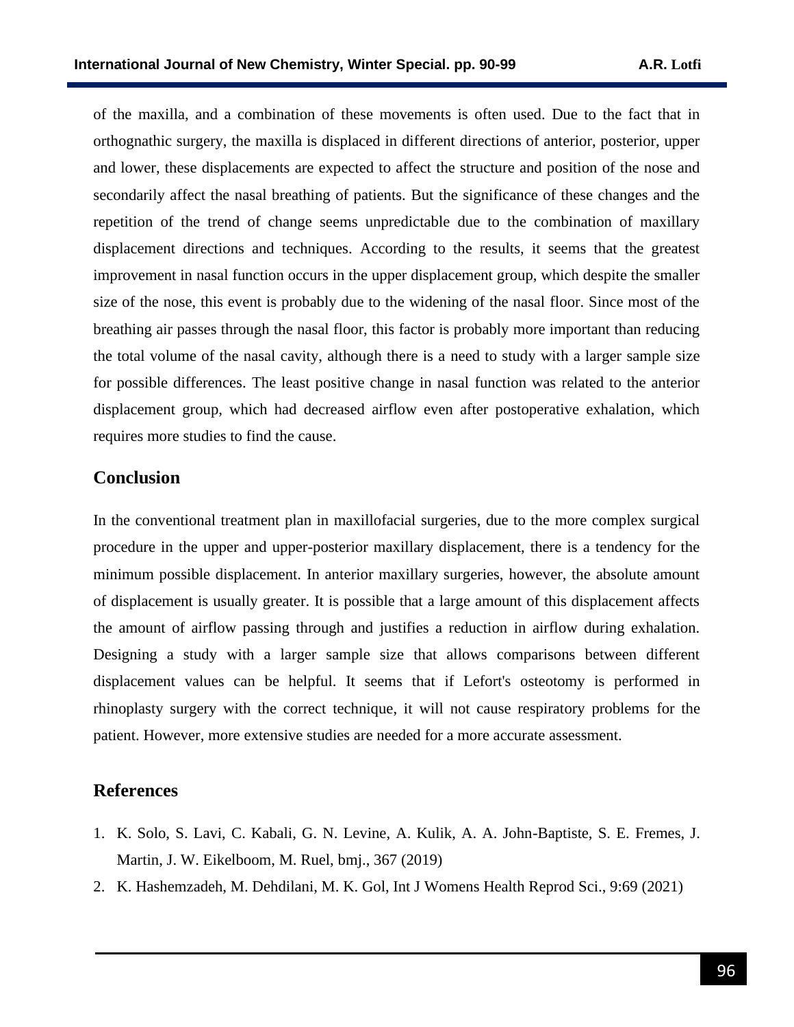of the maxilla, and a combination of these movements is often used. Due to the fact that in orthognathic surgery, the maxilla is displaced in different directions of anterior, posterior, upper and lower, these displacements are expected to affect the structure and position of the nose and secondarily affect the nasal breathing of patients. But the significance of these changes and the repetition of the trend of change seems unpredictable due to the combination of maxillary displacement directions and techniques. According to the results, it seems that the greatest improvement in nasal function occurs in the upper displacement group, which despite the smaller size of the nose, this event is probably due to the widening of the nasal floor. Since most of the breathing air passes through the nasal floor, this factor is probably more important than reducing the total volume of the nasal cavity, although there is a need to study with a larger sample size for possible differences. The least positive change in nasal function was related to the anterior displacement group, which had decreased airflow even after postoperative exhalation, which requires more studies to find the cause.

### **Conclusion**

In the conventional treatment plan in maxillofacial surgeries, due to the more complex surgical procedure in the upper and upper-posterior maxillary displacement, there is a tendency for the minimum possible displacement. In anterior maxillary surgeries, however, the absolute amount of displacement is usually greater. It is possible that a large amount of this displacement affects the amount of airflow passing through and justifies a reduction in airflow during exhalation. Designing a study with a larger sample size that allows comparisons between different displacement values can be helpful. It seems that if Lefort's osteotomy is performed in rhinoplasty surgery with the correct technique, it will not cause respiratory problems for the patient. However, more extensive studies are needed for a more accurate assessment.

#### **References**

- 1. K. Solo, S. Lavi, C. Kabali, G. N. Levine, A. Kulik, A. A. John-Baptiste, S. E. Fremes, J. Martin, J. W. Eikelboom, M. Ruel, bmj., 367 (2019)
- 2. K. Hashemzadeh, M. Dehdilani, M. K. Gol, Int J Womens Health Reprod Sci., 9:69 (2021)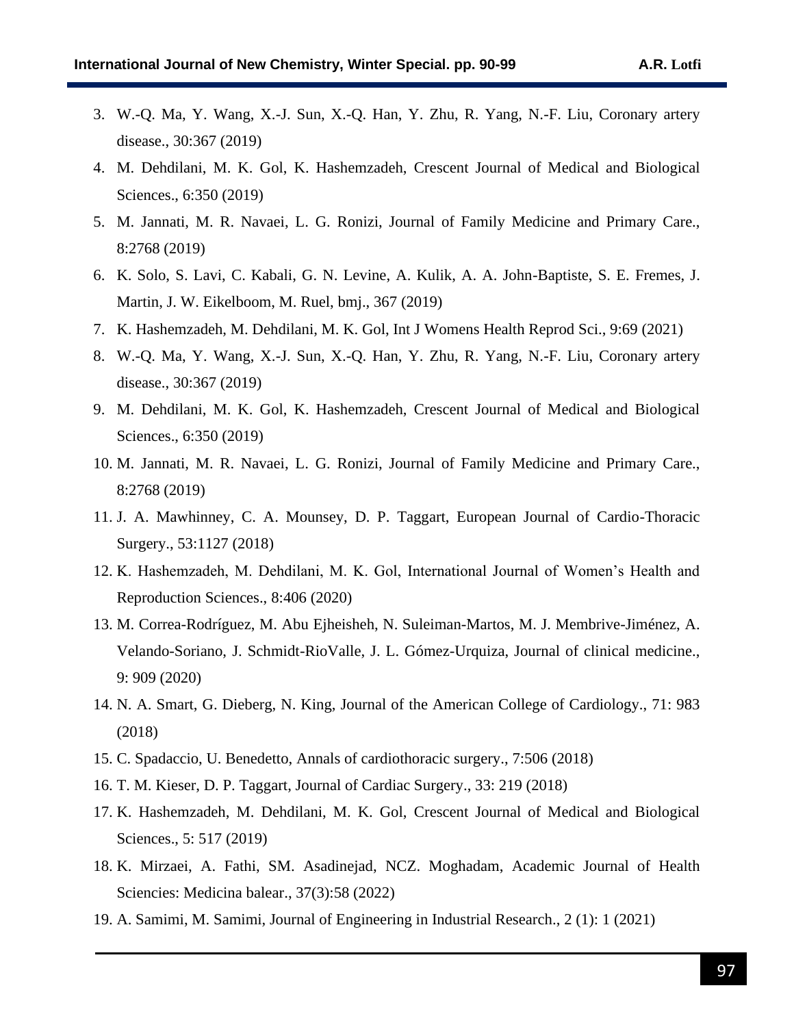- 3. W.-Q. Ma, Y. Wang, X.-J. Sun, X.-Q. Han, Y. Zhu, R. Yang, N.-F. Liu, Coronary artery disease., 30:367 (2019)
- 4. M. Dehdilani, M. K. Gol, K. Hashemzadeh, Crescent Journal of Medical and Biological Sciences., 6:350 (2019)
- 5. M. Jannati, M. R. Navaei, L. G. Ronizi, Journal of Family Medicine and Primary Care., 8:2768 (2019)
- 6. K. Solo, S. Lavi, C. Kabali, G. N. Levine, A. Kulik, A. A. John-Baptiste, S. E. Fremes, J. Martin, J. W. Eikelboom, M. Ruel, bmj., 367 (2019)
- 7. K. Hashemzadeh, M. Dehdilani, M. K. Gol, Int J Womens Health Reprod Sci., 9:69 (2021)
- 8. W.-Q. Ma, Y. Wang, X.-J. Sun, X.-Q. Han, Y. Zhu, R. Yang, N.-F. Liu, Coronary artery disease., 30:367 (2019)
- 9. M. Dehdilani, M. K. Gol, K. Hashemzadeh, Crescent Journal of Medical and Biological Sciences., 6:350 (2019)
- 10. M. Jannati, M. R. Navaei, L. G. Ronizi, Journal of Family Medicine and Primary Care., 8:2768 (2019)
- 11. J. A. Mawhinney, C. A. Mounsey, D. P. Taggart, European Journal of Cardio-Thoracic Surgery., 53:1127 (2018)
- 12. K. Hashemzadeh, M. Dehdilani, M. K. Gol, International Journal of Women's Health and Reproduction Sciences., 8:406 (2020)
- 13. M. Correa-Rodríguez, M. Abu Ejheisheh, N. Suleiman-Martos, M. J. Membrive-Jiménez, A. Velando-Soriano, J. Schmidt-RioValle, J. L. Gómez-Urquiza, Journal of clinical medicine., 9: 909 (2020)
- 14. N. A. Smart, G. Dieberg, N. King, Journal of the American College of Cardiology., 71: 983 (2018)
- 15. C. Spadaccio, U. Benedetto, Annals of cardiothoracic surgery., 7:506 (2018)
- 16. T. M. Kieser, D. P. Taggart, Journal of Cardiac Surgery., 33: 219 (2018)
- 17. K. Hashemzadeh, M. Dehdilani, M. K. Gol, Crescent Journal of Medical and Biological Sciences., 5: 517 (2019)
- 18. K. Mirzaei, A. Fathi, SM. Asadinejad, NCZ. Moghadam, Academic Journal of Health Sciencies: Medicina balear., 37(3):58 (2022)
- 19. A. Samimi, M. Samimi, Journal of Engineering in Industrial Research., 2 (1): 1 (2021)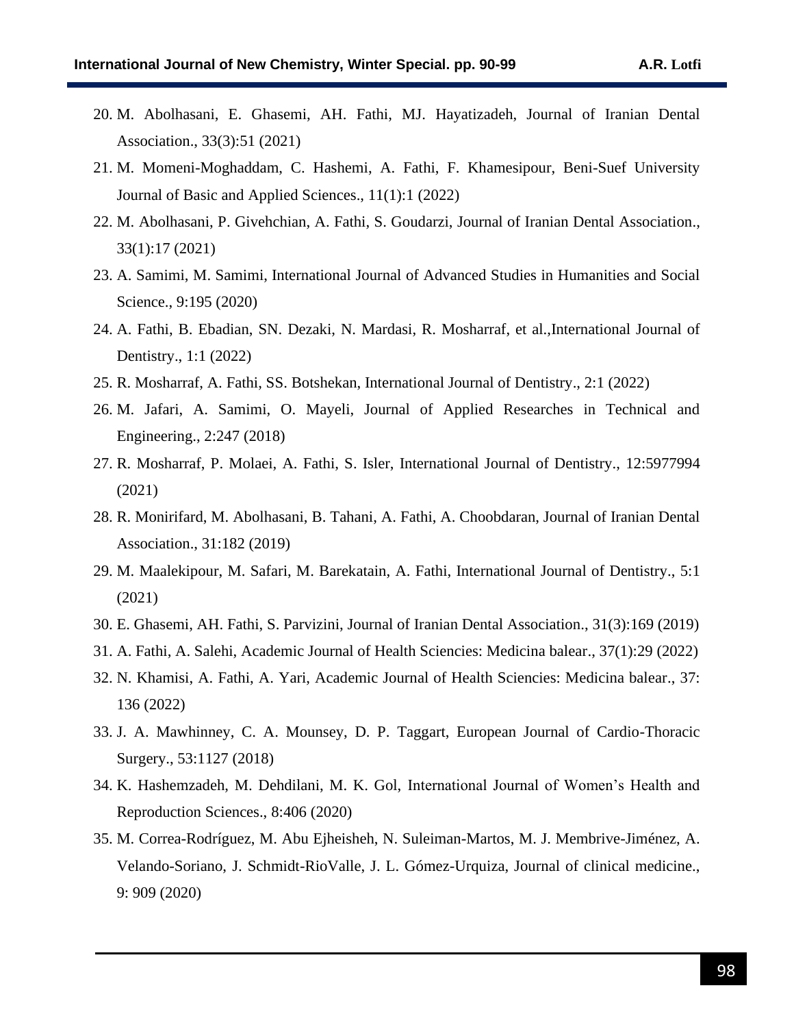- 20. M. Abolhasani, E. Ghasemi, AH. Fathi, MJ. Hayatizadeh, Journal of Iranian Dental Association., 33(3):51 (2021)
- 21. M. Momeni-Moghaddam, C. Hashemi, A. Fathi, F. Khamesipour, Beni-Suef University Journal of Basic and Applied Sciences., 11(1):1 (2022)
- 22. M. Abolhasani, P. Givehchian, A. Fathi, S. Goudarzi, Journal of Iranian Dental Association., 33(1):17 (2021)
- 23. A. Samimi, M. Samimi, International Journal of Advanced Studies in Humanities and Social Science., 9:195 (2020)
- 24. A. Fathi, B. Ebadian, SN. Dezaki, N. Mardasi, R. Mosharraf, et al.,International Journal of Dentistry., 1:1 (2022)
- 25. R. Mosharraf, A. Fathi, SS. Botshekan, International Journal of Dentistry., 2:1 (2022)
- 26. M. Jafari, A. Samimi, O. Mayeli, Journal of Applied Researches in Technical and Engineering., 2:247 (2018)
- 27. R. Mosharraf, P. Molaei, A. Fathi, S. Isler, International Journal of Dentistry., 12:5977994 (2021)
- 28. R. Monirifard, M. Abolhasani, B. Tahani, A. Fathi, A. Choobdaran, Journal of Iranian Dental Association., 31:182 (2019)
- 29. M. Maalekipour, M. Safari, M. Barekatain, A. Fathi, International Journal of Dentistry., 5:1 (2021)
- 30. E. Ghasemi, AH. Fathi, S. Parvizini, Journal of Iranian Dental Association., 31(3):169 (2019)
- 31. A. Fathi, A. Salehi, Academic Journal of Health Sciencies: Medicina balear., 37(1):29 (2022)
- 32. N. Khamisi, A. Fathi, A. Yari, Academic Journal of Health Sciencies: Medicina balear., 37: 136 (2022)
- 33. J. A. Mawhinney, C. A. Mounsey, D. P. Taggart, European Journal of Cardio-Thoracic Surgery., 53:1127 (2018)
- 34. K. Hashemzadeh, M. Dehdilani, M. K. Gol, International Journal of Women's Health and Reproduction Sciences., 8:406 (2020)
- 35. M. Correa-Rodríguez, M. Abu Ejheisheh, N. Suleiman-Martos, M. J. Membrive-Jiménez, A. Velando-Soriano, J. Schmidt-RioValle, J. L. Gómez-Urquiza, Journal of clinical medicine., 9: 909 (2020)